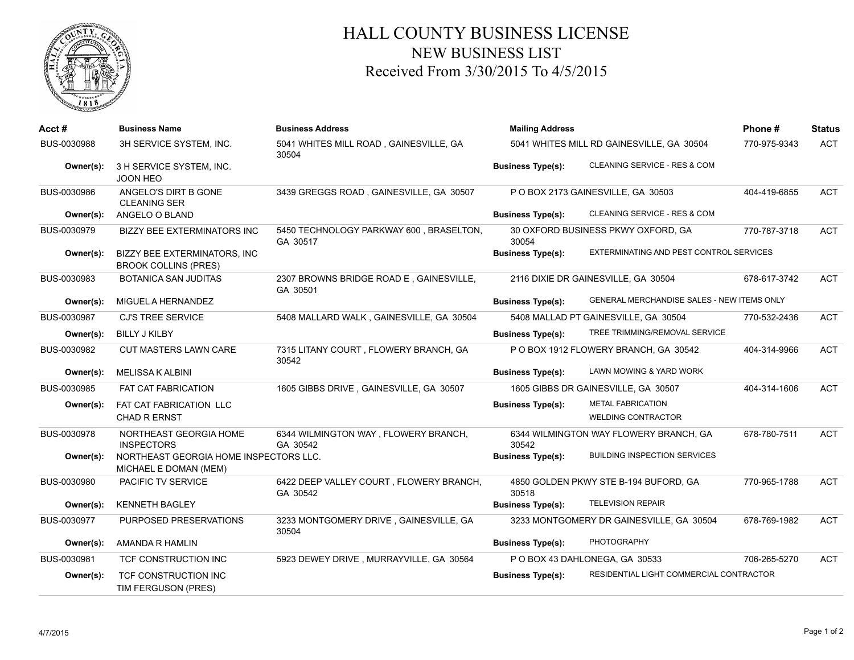

## HALL COUNTY BUSINESS LICENSE NEW BUSINESS LIST Received From 3/30/2015 To 4/5/2015

| Acct #      | <b>Business Name</b>                                               | <b>Business Address</b>                             | <b>Mailing Address</b>                    |                                                       | Phone#       | <b>Status</b> |
|-------------|--------------------------------------------------------------------|-----------------------------------------------------|-------------------------------------------|-------------------------------------------------------|--------------|---------------|
| BUS-0030988 | 3H SERVICE SYSTEM, INC.                                            | 5041 WHITES MILL ROAD, GAINESVILLE, GA<br>30504     | 5041 WHITES MILL RD GAINESVILLE, GA 30504 |                                                       | 770-975-9343 | <b>ACT</b>    |
| Owner(s):   | 3 H SERVICE SYSTEM, INC.<br><b>JOON HEO</b>                        |                                                     | <b>Business Type(s):</b>                  | CLEANING SERVICE - RES & COM                          |              |               |
| BUS-0030986 | ANGELO'S DIRT B GONE<br><b>CLEANING SER</b>                        | 3439 GREGGS ROAD, GAINESVILLE, GA 30507             | P O BOX 2173 GAINESVILLE, GA 30503        |                                                       | 404-419-6855 | <b>ACT</b>    |
| Owner(s):   | ANGELO O BLAND                                                     |                                                     | <b>Business Type(s):</b>                  | CLEANING SERVICE - RES & COM                          |              |               |
| BUS-0030979 | <b>BIZZY BEE EXTERMINATORS INC</b>                                 | 5450 TECHNOLOGY PARKWAY 600, BRASELTON,<br>GA 30517 | 30054                                     | 30 OXFORD BUSINESS PKWY OXFORD, GA                    | 770-787-3718 | <b>ACT</b>    |
| Owner(s):   | <b>BIZZY BEE EXTERMINATORS, INC</b><br><b>BROOK COLLINS (PRES)</b> |                                                     | <b>Business Type(s):</b>                  | EXTERMINATING AND PEST CONTROL SERVICES               |              |               |
| BUS-0030983 | <b>BOTANICA SAN JUDITAS</b>                                        | 2307 BROWNS BRIDGE ROAD E, GAINESVILLE,<br>GA 30501 |                                           | 2116 DIXIE DR GAINESVILLE, GA 30504                   | 678-617-3742 | <b>ACT</b>    |
| Owner(s):   | MIGUEL A HERNANDEZ                                                 |                                                     | <b>Business Type(s):</b>                  | <b>GENERAL MERCHANDISE SALES - NEW ITEMS ONLY</b>     |              |               |
| BUS-0030987 | <b>CJ'S TREE SERVICE</b>                                           | 5408 MALLARD WALK, GAINESVILLE, GA 30504            |                                           | 5408 MALLAD PT GAINESVILLE, GA 30504                  | 770-532-2436 | <b>ACT</b>    |
| Owner(s):   | <b>BILLY J KILBY</b>                                               |                                                     | <b>Business Type(s):</b>                  | TREE TRIMMING/REMOVAL SERVICE                         |              |               |
| BUS-0030982 | <b>CUT MASTERS LAWN CARE</b>                                       | 7315 LITANY COURT, FLOWERY BRANCH, GA<br>30542      |                                           | P O BOX 1912 FLOWERY BRANCH, GA 30542                 | 404-314-9966 | <b>ACT</b>    |
| Owner(s):   | <b>MELISSA K ALBINI</b>                                            |                                                     | <b>Business Type(s):</b>                  | LAWN MOWING & YARD WORK                               |              |               |
| BUS-0030985 | <b>FAT CAT FABRICATION</b>                                         | 1605 GIBBS DRIVE, GAINESVILLE, GA 30507             |                                           | 1605 GIBBS DR GAINESVILLE, GA 30507                   | 404-314-1606 | <b>ACT</b>    |
| Owner(s):   | FAT CAT FABRICATION LLC<br><b>CHAD R ERNST</b>                     |                                                     | <b>Business Type(s):</b>                  | <b>METAL FABRICATION</b><br><b>WELDING CONTRACTOR</b> |              |               |
| BUS-0030978 | NORTHEAST GEORGIA HOME                                             | 6344 WILMINGTON WAY, FLOWERY BRANCH,                |                                           | 6344 WILMINGTON WAY FLOWERY BRANCH, GA                | 678-780-7511 | <b>ACT</b>    |
|             | <b>INSPECTORS</b>                                                  | GA 30542                                            | 30542                                     |                                                       |              |               |
| Owner(s):   | NORTHEAST GEORGIA HOME INSPECTORS LLC.<br>MICHAEL E DOMAN (MEM)    |                                                     | <b>Business Type(s):</b>                  | <b>BUILDING INSPECTION SERVICES</b>                   |              |               |
| BUS-0030980 | PACIFIC TV SERVICE                                                 | 6422 DEEP VALLEY COURT, FLOWERY BRANCH,<br>GA 30542 | 30518                                     | 4850 GOLDEN PKWY STE B-194 BUFORD, GA                 | 770-965-1788 | <b>ACT</b>    |
| Owner(s):   | <b>KENNETH BAGLEY</b>                                              |                                                     | <b>Business Type(s):</b>                  | <b>TELEVISION REPAIR</b>                              |              |               |
| BUS-0030977 | PURPOSED PRESERVATIONS                                             | 3233 MONTGOMERY DRIVE, GAINESVILLE, GA<br>30504     |                                           | 3233 MONTGOMERY DR GAINESVILLE, GA 30504              | 678-769-1982 | <b>ACT</b>    |
| Owner(s):   | AMANDA R HAMLIN                                                    |                                                     | <b>Business Type(s):</b>                  | <b>PHOTOGRAPHY</b>                                    |              |               |
| BUS-0030981 | TCF CONSTRUCTION INC                                               | 5923 DEWEY DRIVE, MURRAYVILLE, GA 30564             |                                           | P O BOX 43 DAHLONEGA, GA 30533                        | 706-265-5270 | <b>ACT</b>    |
| Owner(s):   | TCF CONSTRUCTION INC<br>TIM FERGUSON (PRES)                        |                                                     | <b>Business Type(s):</b>                  | RESIDENTIAL LIGHT COMMERCIAL CONTRACTOR               |              |               |